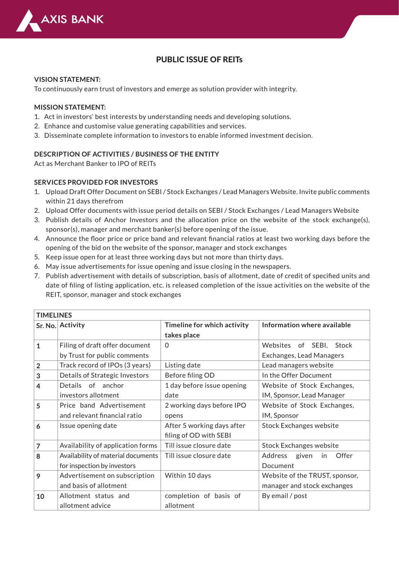

# PUBLIC ISSUE OF REITs

#### **VISION STATEMENT:**

To continuously earn trust of investors and emerge as solution provider with integrity.

### **MISSION STATEMENT:**

- 1. Act in investors' best interests by understanding needs and developing solutions.
- 2. Enhance and customise value generating capabilities and services.
- 3. Disseminate complete information to investors to enable informed investment decision.

### **DESCRIPTION OF ACTIVITIES / BUSINESS OF THE ENTITY**

Act as Merchant Banker to IPO of REITs

#### **SERVICES PROVIDED FOR INVESTORS**

- 1. Upload Draft Offer Document on SEBI / Stock Exchanges / Lead Managers Website. Invite public comments within 21 days therefrom
- 2. Upload Offer documents with issue period details on SEBI / Stock Exchanges / Lead Managers Website
- 3. Publish details of Anchor Investors and the allocation price on the website of the stock exchange(s), sponsor(s), manager and merchant banker(s) before opening of the issue.
- Announce the floor price or price band and relevant financial ratios at least two working days before the 4. opening of the bid on the website of the sponsor, manager and stock exchanges
- 5. Keep issue open for at least three working days but not more than thirty days.
- May issue advertisements for issue opening and issue closing in the newspapers. 6.
- 7. Publish advertisement with details of subscription, basis of allotment, date of credit of specified units and date of filing of listing application, etc. is released completion of the issue activities on the website of the REIT, sponsor, manager and stock exchanges

| <b>TIMELINES</b> |                                    |                             |                                 |  |  |
|------------------|------------------------------------|-----------------------------|---------------------------------|--|--|
|                  | Sr. No. Activity                   | Timeline for which activity | Information where available     |  |  |
|                  |                                    | takes place                 |                                 |  |  |
| $\mathbf{1}$     | Filing of draft offer document     | $\Omega$                    | of SEBI, Stock<br>Websites      |  |  |
|                  | by Trust for public comments       |                             | Exchanges, Lead Managers        |  |  |
| $\overline{2}$   | Track record of IPOs (3 years)     | Listing date                | Lead managers website           |  |  |
| 3                | Details of Strategic Investors     | Before filing OD            | In the Offer Document           |  |  |
| $\overline{4}$   | Details of anchor                  | 1 day before issue opening  | Website of Stock Exchanges,     |  |  |
|                  | investors allotment                | date                        | IM, Sponsor, Lead Manager       |  |  |
| 5                | Price band Advertisement           | 2 working days before IPO   | Website of Stock Exchanges,     |  |  |
|                  | and relevant financial ratio       | opens                       | IM, Sponsor                     |  |  |
| 6                | Issue opening date                 | After 5 working days after  | <b>Stock Exchanges website</b>  |  |  |
|                  |                                    | filing of OD with SEBI      |                                 |  |  |
| $\overline{7}$   | Availability of application forms  | Till issue closure date     | <b>Stock Exchanges website</b>  |  |  |
| 8                | Availability of material documents | Till issue closure date     | Offer<br>Address<br>given<br>in |  |  |
|                  | for inspection by investors        |                             | Document                        |  |  |
| 9                | Advertisement on subscription      | Within 10 days              | Website of the TRUST, sponsor,  |  |  |
|                  | and basis of allotment             |                             | manager and stock exchanges     |  |  |
| 10               | Allotment status and               | completion of basis of      | By email / post                 |  |  |
|                  | allotment advice                   | allotment                   |                                 |  |  |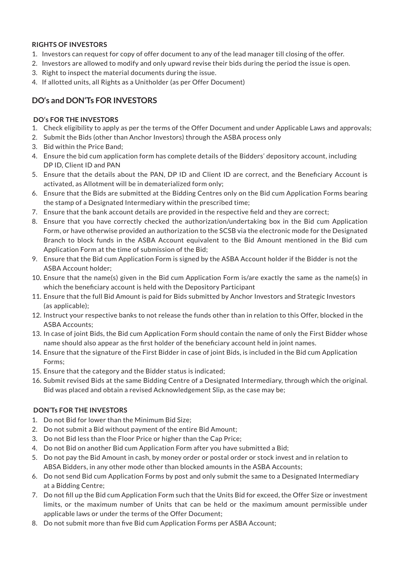## **RIGHTS OF INVESTORS**

- 1. Investors can request for copy of offer document to any of the lead manager till closing of the offer.
- 2. Investors are allowed to modify and only upward revise their bids during the period the issue is open.
- 3. Right to inspect the material documents during the issue.
- 4. If allotted units, all Rights as a Unitholder (as per Offer Document)

# **DO's and DON'Ts FOR INVESTORS**

### **DO's FOR THE INVESTORS**

- Check eligibility to apply as per the terms of the Offer Document and under Applicable Laws and approvals; 1.
- 2. Submit the Bids (other than Anchor Investors) through the ASBA process only
- 3. Bid within the Price Band;
- Ensure the bid cum application form has complete details of the Bidders' depository account, including 4. DP ID, Client ID and PAN
- 5. Ensure that the details about the PAN, DP ID and Client ID are correct, and the Beneficiary Account is activated, as Allotment will be in dematerialized form only;
- Ensure that the Bids are submitted at the Bidding Centres only on the Bid cum Application Forms bearing 6. the stamp of a Designated Intermediary within the prescribed time;
- Ensure that the bank account details are provided in the respective field and they are correct; 7.
- Ensure that you have correctly checked the authorization/undertaking box in the Bid cum Application 8. Form, or have otherwise provided an authorization to the SCSB via the electronic mode for the Designated Branch to block funds in the ASBA Account equivalent to the Bid Amount mentioned in the Bid cum Application Form at the time of submission of the Bid;
- Ensure that the Bid cum Application Form is signed by the ASBA Account holder if the Bidder is not the 9. ASBA Account holder;
- 10. Ensure that the name(s) given in the Bid cum Application Form is/are exactly the same as the name(s) in which the beneficiary account is held with the Depository Participant
- 11. Ensure that the full Bid Amount is paid for Bids submitted by Anchor Investors and Strategic Investors (as applicable);
- 12. Instruct your respective banks to not release the funds other than in relation to this Offer, blocked in the ASBA Accounts;
- 13. In case of joint Bids, the Bid cum Application Form should contain the name of only the First Bidder whose name should also appear as the first holder of the beneficiary account held in joint names.
- 14. Ensure that the signature of the First Bidder in case of joint Bids, is included in the Bid cum Application Forms;
- 15. Ensure that the category and the Bidder status is indicated;
- 16. Submit revised Bids at the same Bidding Centre of a Designated Intermediary, through which the original. Bid was placed and obtain a revised Acknowledgement Slip, as the case may be;

# **DON'Ts FOR THE INVESTORS**

- 1. Do not Bid for lower than the Minimum Bid Size;
- Do not submit a Bid without payment of the entire Bid Amount; 2.
- Do not Bid less than the Floor Price or higher than the Cap Price; 3.
- Do not Bid on another Bid cum Application Form after you have submitted a Bid; 4.
- Do not pay the Bid Amount in cash, by money order or postal order or stock invest and in relation to 5. ABSA Bidders, in any other mode other than blocked amounts in the ASBA Accounts;
- Do not send Bid cum Application Forms by post and only submit the same to a Designated Intermediary 6. at a Bidding Centre;
- 7. Do not fill up the Bid cum Application Form such that the Units Bid for exceed, the Offer Size or investment limits, or the maximum number of Units that can be held or the maximum amount permissible under applicable laws or under the terms of the Offer Document;
- Do not submit more than five Bid cum Application Forms per ASBA Account; 8.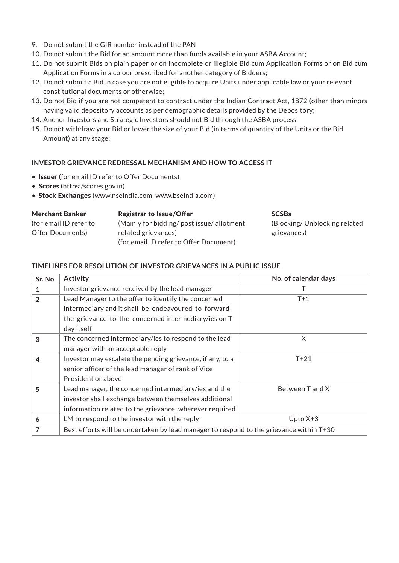- 9. Do not submit the GIR number instead of the PAN
- 10. Do not submit the Bid for an amount more than funds available in your ASBA Account;
- 11. Do not submit Bids on plain paper or on incomplete or illegible Bid cum Application Forms or on Bid cum Application Forms in a colour prescribed for another category of Bidders;
- 12. Do not submit a Bid in case you are not eligible to acquire Units under applicable law or your relevant constitutional documents or otherwise;
- 13. Do not Bid if you are not competent to contract under the Indian Contract Act, 1872 (other than minors having valid depository accounts as per demographic details provided by the Depository;
- 14. Anchor Investors and Strategic Investors should not Bid through the ASBA process;
- 15. Do not withdraw your Bid or lower the size of your Bid (in terms of quantity of the Units or the Bid Amount) at any stage;

#### **INVESTOR GRIEVANCE REDRESSAL MECHANISM AND HOW TO ACCESS IT**

- Issuer (for email ID refer to Offer Documents)
- Scores (https:/scores.gov.in)
- Stock Exchanges (www.nseindia.com; www.bseindia.com)

| <b>Merchant Banker</b>   | <b>Registrar to Issue/Offer</b>            | <b>SCSBs</b>                  |
|--------------------------|--------------------------------------------|-------------------------------|
| (for email ID refer to   | (Mainly for bidding/ post issue/allotment) | (Blocking/Unblocking related) |
| <b>Offer Documents</b> ) | related grievances)                        | grievances)                   |
|                          | (for email ID refer to Offer Document)     |                               |

#### **TIMELINES FOR RESOLUTION OF INVESTOR GRIEVANCES IN A PUBLIC ISSUE**

| Sr. No.        | <b>Activity</b>                                                                         | No. of calendar days |  |
|----------------|-----------------------------------------------------------------------------------------|----------------------|--|
|                | Investor grievance received by the lead manager                                         |                      |  |
| $\overline{2}$ | Lead Manager to the offer to identify the concerned                                     | $T+1$                |  |
|                | intermediary and it shall be endeavoured to forward                                     |                      |  |
|                | the grievance to the concerned intermediary/ies on T                                    |                      |  |
|                | day itself                                                                              |                      |  |
| 3              | The concerned intermediary/ies to respond to the lead                                   | X                    |  |
|                | manager with an acceptable reply                                                        |                      |  |
| $\overline{4}$ | Investor may escalate the pending grievance, if any, to a                               | $T+21$               |  |
|                | senior officer of the lead manager of rank of Vice                                      |                      |  |
|                | President or above                                                                      |                      |  |
| 5              | Lead manager, the concerned intermediary/ies and the                                    | Between T and X      |  |
|                | investor shall exchange between themselves additional                                   |                      |  |
|                | information related to the grievance, wherever required                                 |                      |  |
| 6              | LM to respond to the investor with the reply                                            | Upto $X+3$           |  |
| 7              | Best efforts will be undertaken by lead manager to respond to the grievance within T+30 |                      |  |